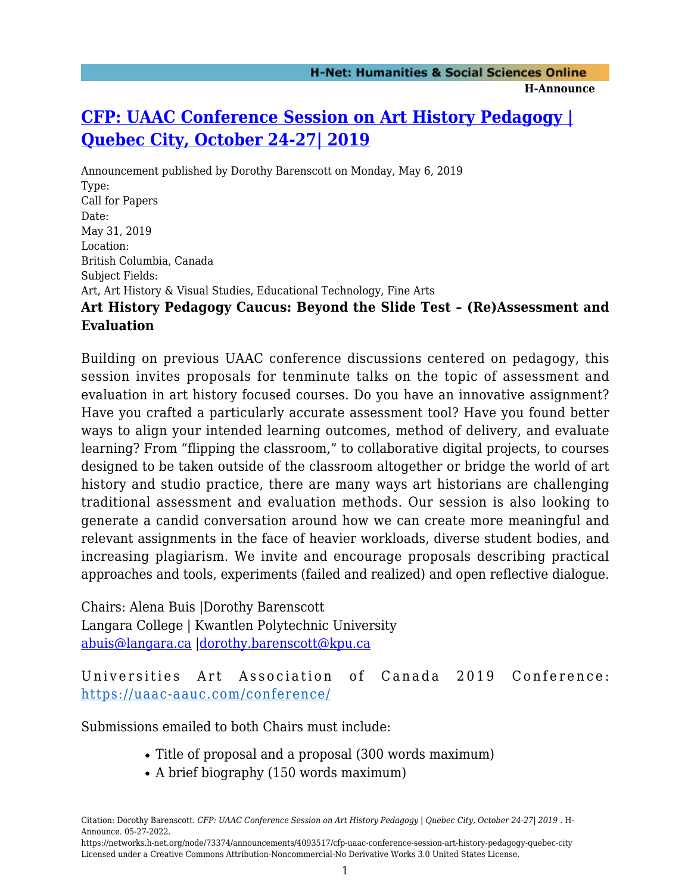## **[CFP: UAAC Conference Session on Art History Pedagogy |](https://networks.h-net.org/node/73374/announcements/4093517/cfp-uaac-conference-session-art-history-pedagogy-quebec-city) [Quebec City, October 24-27| 2019](https://networks.h-net.org/node/73374/announcements/4093517/cfp-uaac-conference-session-art-history-pedagogy-quebec-city)**

Announcement published by Dorothy Barenscott on Monday, May 6, 2019 Type: Call for Papers Date: May 31, 2019 Location: British Columbia, Canada Subject Fields: Art, Art History & Visual Studies, Educational Technology, Fine Arts **Art History Pedagogy Caucus: Beyond the Slide Test – (Re)Assessment and Evaluation**

Building on previous UAAC conference discussions centered on pedagogy, this session invites proposals for tenminute talks on the topic of assessment and evaluation in art history focused courses. Do you have an innovative assignment? Have you crafted a particularly accurate assessment tool? Have you found better ways to align your intended learning outcomes, method of delivery, and evaluate learning? From "flipping the classroom," to collaborative digital projects, to courses designed to be taken outside of the classroom altogether or bridge the world of art history and studio practice, there are many ways art historians are challenging traditional assessment and evaluation methods. Our session is also looking to generate a candid conversation around how we can create more meaningful and relevant assignments in the face of heavier workloads, diverse student bodies, and increasing plagiarism. We invite and encourage proposals describing practical approaches and tools, experiments (failed and realized) and open reflective dialogue.

Chairs: Alena Buis |Dorothy Barenscott Langara College | Kwantlen Polytechnic University [abuis@langara.ca](mailto:abuis@langara.ca) |[dorothy.barenscott@kpu.ca](mailto:dorothy.barenscott@kpu.ca)

Universities Art Association of Canada 2019 Conference: <https://uaac-aauc.com/conference/>

Submissions emailed to both Chairs must include:

- Title of proposal and a proposal (300 words maximum)
- A brief biography (150 words maximum)

Citation: Dorothy Barenscott. *CFP: UAAC Conference Session on Art History Pedagogy | Quebec City, October 24-27| 2019* . H-Announce. 05-27-2022.

https://networks.h-net.org/node/73374/announcements/4093517/cfp-uaac-conference-session-art-history-pedagogy-quebec-city Licensed under a Creative Commons Attribution-Noncommercial-No Derivative Works 3.0 United States License.